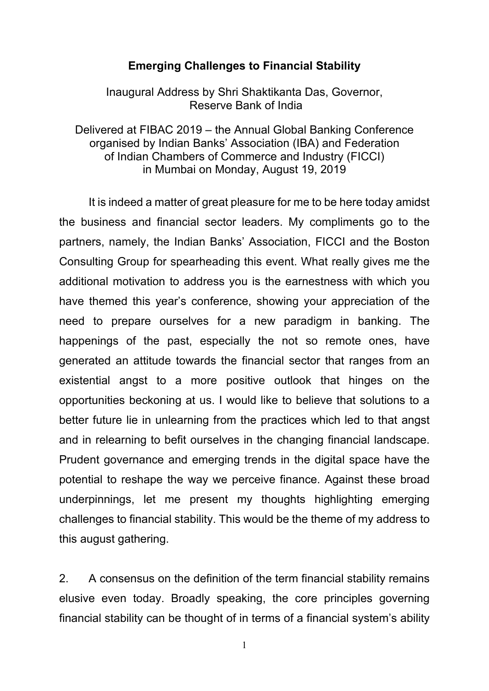### **Emerging Challenges to Financial Stability**

Inaugural Address by Shri Shaktikanta Das, Governor, Reserve Bank of India

Delivered at FIBAC 2019 – the Annual Global Banking Conference organised by Indian Banks' Association (IBA) and Federation of Indian Chambers of Commerce and Industry (FICCI) in Mumbai on Monday, August 19, 2019

It is indeed a matter of great pleasure for me to be here today amidst the business and financial sector leaders. My compliments go to the partners, namely, the Indian Banks' Association, FICCI and the Boston Consulting Group for spearheading this event. What really gives me the additional motivation to address you is the earnestness with which you have themed this year's conference, showing your appreciation of the need to prepare ourselves for a new paradigm in banking. The happenings of the past, especially the not so remote ones, have generated an attitude towards the financial sector that ranges from an existential angst to a more positive outlook that hinges on the opportunities beckoning at us. I would like to believe that solutions to a better future lie in unlearning from the practices which led to that angst and in relearning to befit ourselves in the changing financial landscape. Prudent governance and emerging trends in the digital space have the potential to reshape the way we perceive finance. Against these broad underpinnings, let me present my thoughts highlighting emerging challenges to financial stability. This would be the theme of my address to this august gathering.

2. A consensus on the definition of the term financial stability remains elusive even today. Broadly speaking, the core principles governing financial stability can be thought of in terms of a financial system's ability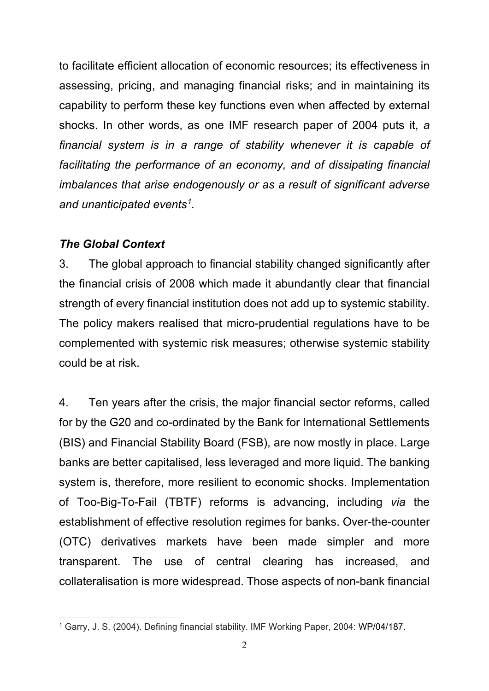to facilitate efficient allocation of economic resources; its effectiveness in assessing, pricing, and managing financial risks; and in maintaining its capability to perform these key functions even when affected by external shocks. In other words, as one IMF research paper of 2004 puts it, *a financial system is in a range of stability whenever it is capable of facilitating the performance of an economy, and of dissipating financial imbalances that arise endogenously or as a result of significant adverse and unanticipated events[1](#page-1-0).*

## *The Global Context*

3. The global approach to financial stability changed significantly after the financial crisis of 2008 which made it abundantly clear that financial strength of every financial institution does not add up to systemic stability. The policy makers realised that micro-prudential regulations have to be complemented with systemic risk measures; otherwise systemic stability could be at risk.

4. Ten years after the crisis, the major financial sector reforms, called for by the G20 and co-ordinated by the Bank for International Settlements (BIS) and Financial Stability Board (FSB), are now mostly in place. Large banks are better capitalised, less leveraged and more liquid. The banking system is, therefore, more resilient to economic shocks. Implementation of Too-Big-To-Fail (TBTF) reforms is advancing, including *via* the establishment of effective resolution regimes for banks. Over-the-counter (OTC) derivatives markets have been made simpler and more transparent. The use of central clearing has increased, and collateralisation is more widespread. Those aspects of non-bank financial

<span id="page-1-0"></span><sup>-</sup><sup>1</sup> Garry, J. S. (2004). Defining financial stability. IMF Working Paper, 2004: WP/04/187.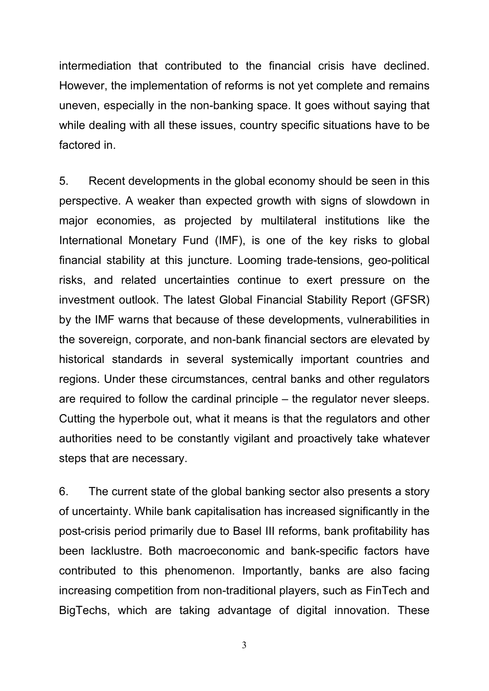intermediation that contributed to the financial crisis have declined. However, the implementation of reforms is not yet complete and remains uneven, especially in the non-banking space. It goes without saying that while dealing with all these issues, country specific situations have to be factored in.

5. Recent developments in the global economy should be seen in this perspective. A weaker than expected growth with signs of slowdown in major economies, as projected by multilateral institutions like the International Monetary Fund (IMF), is one of the key risks to global financial stability at this juncture. Looming trade-tensions, geo-political risks, and related uncertainties continue to exert pressure on the investment outlook. The latest Global Financial Stability Report (GFSR) by the IMF warns that because of these developments, vulnerabilities in the sovereign, corporate, and non-bank financial sectors are elevated by historical standards in several systemically important countries and regions. Under these circumstances, central banks and other regulators are required to follow the cardinal principle – the regulator never sleeps. Cutting the hyperbole out, what it means is that the regulators and other authorities need to be constantly vigilant and proactively take whatever steps that are necessary.

6. The current state of the global banking sector also presents a story of uncertainty. While bank capitalisation has increased significantly in the post-crisis period primarily due to Basel III reforms, bank profitability has been lacklustre. Both macroeconomic and bank-specific factors have contributed to this phenomenon. Importantly, banks are also facing increasing competition from non-traditional players, such as FinTech and BigTechs, which are taking advantage of digital innovation. These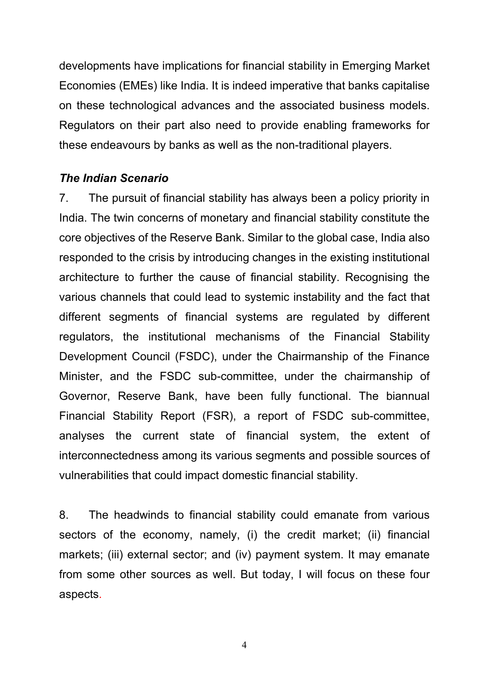developments have implications for financial stability in Emerging Market Economies (EMEs) like India. It is indeed imperative that banks capitalise on these technological advances and the associated business models. Regulators on their part also need to provide enabling frameworks for these endeavours by banks as well as the non-traditional players.

#### *The Indian Scenario*

7. The pursuit of financial stability has always been a policy priority in India. The twin concerns of monetary and financial stability constitute the core objectives of the Reserve Bank. Similar to the global case, India also responded to the crisis by introducing changes in the existing institutional architecture to further the cause of financial stability. Recognising the various channels that could lead to systemic instability and the fact that different segments of financial systems are regulated by different regulators, the institutional mechanisms of the Financial Stability Development Council (FSDC), under the Chairmanship of the Finance Minister, and the FSDC sub-committee, under the chairmanship of Governor, Reserve Bank, have been fully functional. The biannual Financial Stability Report (FSR), a report of FSDC sub-committee, analyses the current state of financial system, the extent of interconnectedness among its various segments and possible sources of vulnerabilities that could impact domestic financial stability.

8. The headwinds to financial stability could emanate from various sectors of the economy, namely, (i) the credit market; (ii) financial markets; (iii) external sector; and (iv) payment system. It may emanate from some other sources as well. But today, I will focus on these four aspects.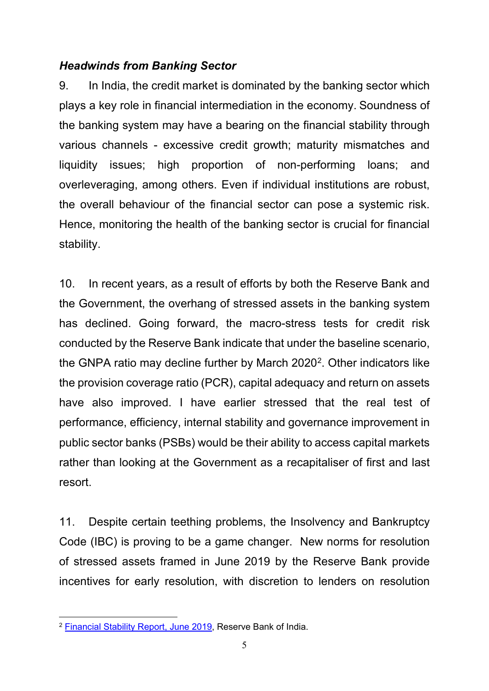# *Headwinds from Banking Sector*

9. In India, the credit market is dominated by the banking sector which plays a key role in financial intermediation in the economy. Soundness of the banking system may have a bearing on the financial stability through various channels - excessive credit growth; maturity mismatches and liquidity issues; high proportion of non-performing loans; and overleveraging, among others. Even if individual institutions are robust, the overall behaviour of the financial sector can pose a systemic risk. Hence, monitoring the health of the banking sector is crucial for financial stability.

10. In recent years, as a result of efforts by both the Reserve Bank and the Government, the overhang of stressed assets in the banking system has declined. Going forward, the macro-stress tests for credit risk conducted by the Reserve Bank indicate that under the baseline scenario, the GNPA ratio may decline further by March  $2020^2$  $2020^2$ . Other indicators like the provision coverage ratio (PCR), capital adequacy and return on assets have also improved. I have earlier stressed that the real test of performance, efficiency, internal stability and governance improvement in public sector banks (PSBs) would be their ability to access capital markets rather than looking at the Government as a recapitaliser of first and last resort.

11. Despite certain teething problems, the Insolvency and Bankruptcy Code (IBC) is proving to be a game changer. New norms for resolution of stressed assets framed in June 2019 by the Reserve Bank provide incentives for early resolution, with discretion to lenders on resolution

<span id="page-4-0"></span><sup>-</sup><sup>2</sup> <u>Financial Stability Report, June 2019</u>, Reserve Bank of India.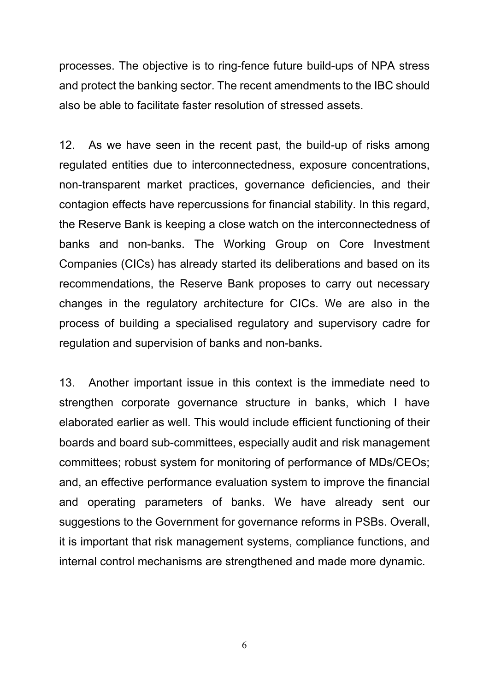processes. The objective is to ring-fence future build-ups of NPA stress and protect the banking sector. The recent amendments to the IBC should also be able to facilitate faster resolution of stressed assets.

12. As we have seen in the recent past, the build-up of risks among regulated entities due to interconnectedness, exposure concentrations, non-transparent market practices, governance deficiencies, and their contagion effects have repercussions for financial stability. In this regard, the Reserve Bank is keeping a close watch on the interconnectedness of banks and non-banks. The Working Group on Core Investment Companies (CICs) has already started its deliberations and based on its recommendations, the Reserve Bank proposes to carry out necessary changes in the regulatory architecture for CICs. We are also in the process of building a specialised regulatory and supervisory cadre for regulation and supervision of banks and non-banks.

13. Another important issue in this context is the immediate need to strengthen corporate governance structure in banks, which I have elaborated earlier as well. This would include efficient functioning of their boards and board sub-committees, especially audit and risk management committees; robust system for monitoring of performance of MDs/CEOs; and, an effective performance evaluation system to improve the financial and operating parameters of banks. We have already sent our suggestions to the Government for governance reforms in PSBs. Overall, it is important that risk management systems, compliance functions, and internal control mechanisms are strengthened and made more dynamic.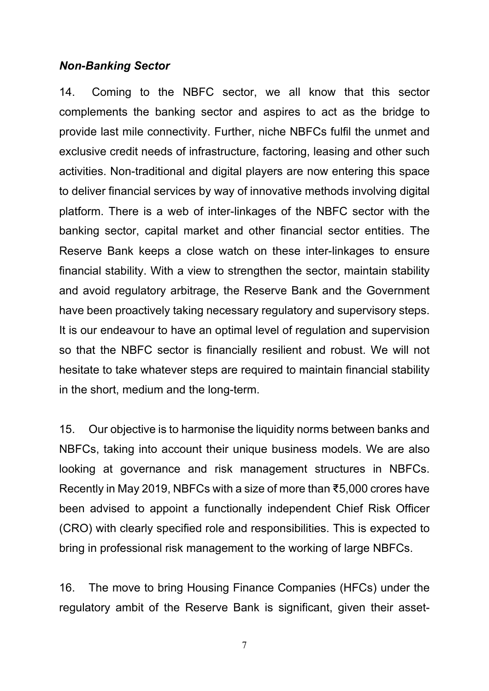#### *Non-Banking Sector*

14. Coming to the NBFC sector, we all know that this sector complements the banking sector and aspires to act as the bridge to provide last mile connectivity. Further, niche NBFCs fulfil the unmet and exclusive credit needs of infrastructure, factoring, leasing and other such activities. Non-traditional and digital players are now entering this space to deliver financial services by way of innovative methods involving digital platform. There is a web of inter-linkages of the NBFC sector with the banking sector, capital market and other financial sector entities. The Reserve Bank keeps a close watch on these inter-linkages to ensure financial stability. With a view to strengthen the sector, maintain stability and avoid regulatory arbitrage, the Reserve Bank and the Government have been proactively taking necessary regulatory and supervisory steps. It is our endeavour to have an optimal level of regulation and supervision so that the NBFC sector is financially resilient and robust. We will not hesitate to take whatever steps are required to maintain financial stability in the short, medium and the long-term.

15. Our objective is to harmonise the liquidity norms between banks and NBFCs, taking into account their unique business models. We are also looking at governance and risk management structures in NBFCs. Recently in May 2019, NBFCs with a size of more than ₹5,000 crores have been advised to appoint a functionally independent Chief Risk Officer (CRO) with clearly specified role and responsibilities. This is expected to bring in professional risk management to the working of large NBFCs.

16. The move to bring Housing Finance Companies (HFCs) under the regulatory ambit of the Reserve Bank is significant, given their asset-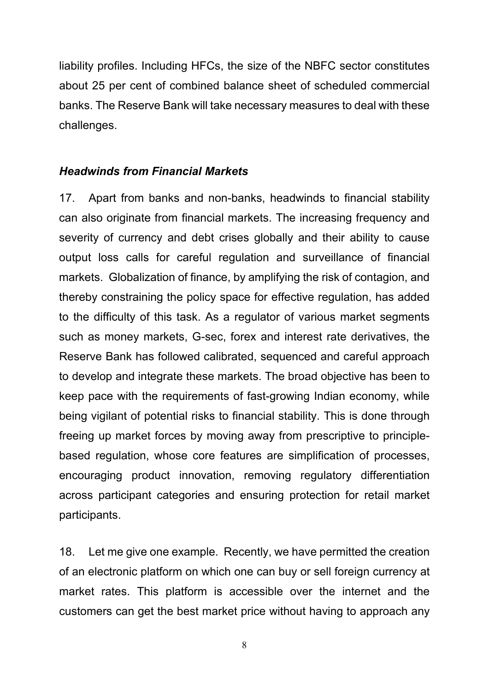liability profiles. Including HFCs, the size of the NBFC sector constitutes about 25 per cent of combined balance sheet of scheduled commercial banks. The Reserve Bank will take necessary measures to deal with these challenges.

#### *Headwinds from Financial Markets*

17. Apart from banks and non-banks, headwinds to financial stability can also originate from financial markets. The increasing frequency and severity of currency and debt crises globally and their ability to cause output loss calls for careful regulation and surveillance of financial markets. Globalization of finance, by amplifying the risk of contagion, and thereby constraining the policy space for effective regulation, has added to the difficulty of this task. As a regulator of various market segments such as money markets, G-sec, forex and interest rate derivatives, the Reserve Bank has followed calibrated, sequenced and careful approach to develop and integrate these markets. The broad objective has been to keep pace with the requirements of fast-growing Indian economy, while being vigilant of potential risks to financial stability. This is done through freeing up market forces by moving away from prescriptive to principlebased regulation, whose core features are simplification of processes, encouraging product innovation, removing regulatory differentiation across participant categories and ensuring protection for retail market participants.

18. Let me give one example. Recently, we have permitted the creation of an electronic platform on which one can buy or sell foreign currency at market rates. This platform is accessible over the internet and the customers can get the best market price without having to approach any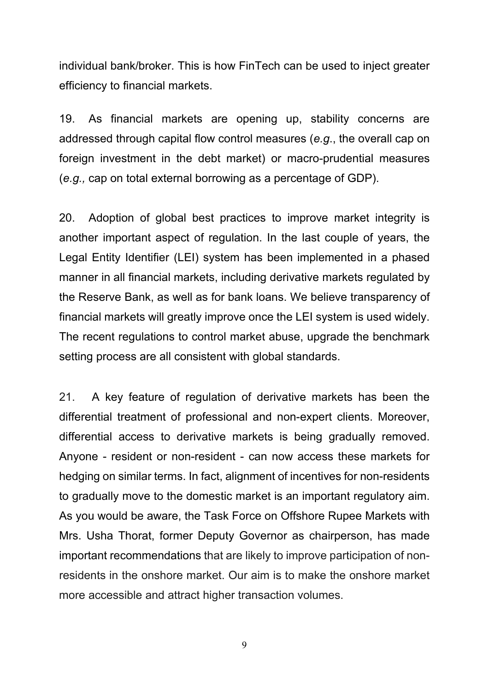individual bank/broker. This is how FinTech can be used to inject greater efficiency to financial markets.

19. As financial markets are opening up, stability concerns are addressed through capital flow control measures (*e.g*., the overall cap on foreign investment in the debt market) or macro-prudential measures (*e.g.,* cap on total external borrowing as a percentage of GDP).

20. Adoption of global best practices to improve market integrity is another important aspect of regulation. In the last couple of years, the Legal Entity Identifier (LEI) system has been implemented in a phased manner in all financial markets, including derivative markets regulated by the Reserve Bank, as well as for bank loans. We believe transparency of financial markets will greatly improve once the LEI system is used widely. The recent regulations to control market abuse, upgrade the benchmark setting process are all consistent with global standards.

21. A key feature of regulation of derivative markets has been the differential treatment of professional and non-expert clients. Moreover, differential access to derivative markets is being gradually removed. Anyone - resident or non-resident - can now access these markets for hedging on similar terms. In fact, alignment of incentives for non-residents to gradually move to the domestic market is an important regulatory aim. As you would be aware, the Task Force on Offshore Rupee Markets with Mrs. Usha Thorat, former Deputy Governor as chairperson, has made important recommendations that are likely to improve participation of nonresidents in the onshore market. Our aim is to make the onshore market more accessible and attract higher transaction volumes.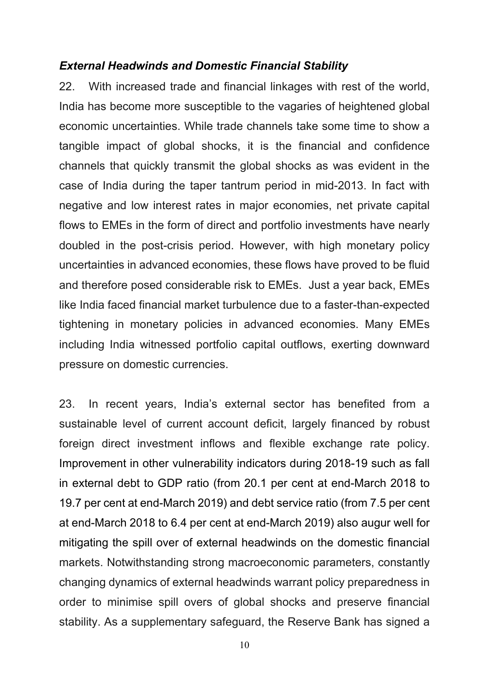## *External Headwinds and Domestic Financial Stability*

22. With increased trade and financial linkages with rest of the world, India has become more susceptible to the vagaries of heightened global economic uncertainties. While trade channels take some time to show a tangible impact of global shocks, it is the financial and confidence channels that quickly transmit the global shocks as was evident in the case of India during the taper tantrum period in mid-2013. In fact with negative and low interest rates in major economies, net private capital flows to EMEs in the form of direct and portfolio investments have nearly doubled in the post-crisis period. However, with high monetary policy uncertainties in advanced economies, these flows have proved to be fluid and therefore posed considerable risk to EMEs. Just a year back, EMEs like India faced financial market turbulence due to a faster-than-expected tightening in monetary policies in advanced economies. Many EMEs including India witnessed portfolio capital outflows, exerting downward pressure on domestic currencies.

23. In recent years, India's external sector has benefited from a sustainable level of current account deficit, largely financed by robust foreign direct investment inflows and flexible exchange rate policy. Improvement in other vulnerability indicators during 2018-19 such as fall in external debt to GDP ratio (from 20.1 per cent at end-March 2018 to 19.7 per cent at end-March 2019) and debt service ratio (from 7.5 per cent at end-March 2018 to 6.4 per cent at end-March 2019) also augur well for mitigating the spill over of external headwinds on the domestic financial markets. Notwithstanding strong macroeconomic parameters, constantly changing dynamics of external headwinds warrant policy preparedness in order to minimise spill overs of global shocks and preserve financial stability. As a supplementary safeguard, the Reserve Bank has signed a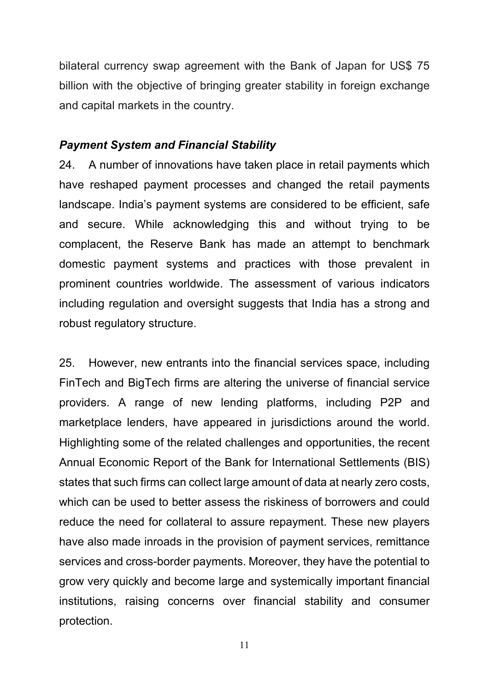bilateral currency swap agreement with the Bank of Japan for US\$ 75 billion with the objective of bringing greater stability in foreign exchange and capital markets in the country.

## *Payment System and Financial Stability*

24. A number of innovations have taken place in retail payments which have reshaped payment processes and changed the retail payments landscape. India's payment systems are considered to be efficient, safe and secure. While acknowledging this and without trying to be complacent, the Reserve Bank has made an attempt to benchmark domestic payment systems and practices with those prevalent in prominent countries worldwide. The assessment of various indicators including regulation and oversight suggests that India has a strong and robust regulatory structure.

25. However, new entrants into the financial services space, including FinTech and BigTech firms are altering the universe of financial service providers. A range of new lending platforms, including P2P and marketplace lenders, have appeared in jurisdictions around the world. Highlighting some of the related challenges and opportunities, the recent Annual Economic Report of the Bank for International Settlements (BIS) states that such firms can collect large amount of data at nearly zero costs, which can be used to better assess the riskiness of borrowers and could reduce the need for collateral to assure repayment. These new players have also made inroads in the provision of payment services, remittance services and cross-border payments. Moreover, they have the potential to grow very quickly and become large and systemically important financial institutions, raising concerns over financial stability and consumer protection.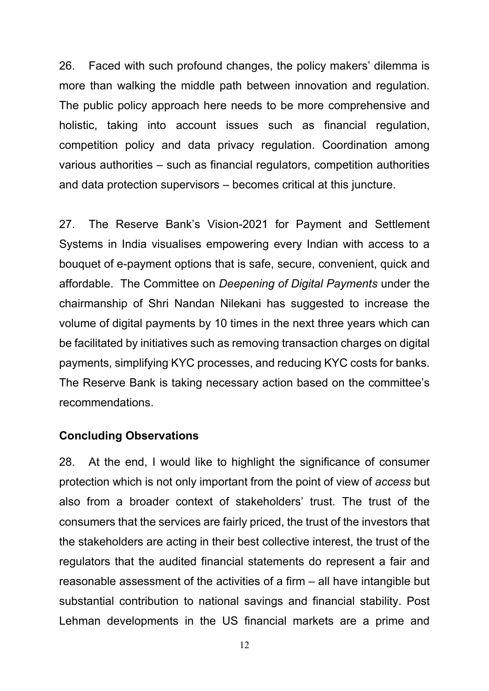26. Faced with such profound changes, the policy makers' dilemma is more than walking the middle path between innovation and regulation. The public policy approach here needs to be more comprehensive and holistic, taking into account issues such as financial regulation, competition policy and data privacy regulation. Coordination among various authorities – such as financial regulators, competition authorities and data protection supervisors – becomes critical at this juncture.

27. The Reserve Bank's Vision-2021 for Payment and Settlement Systems in India visualises empowering every Indian with access to a bouquet of e-payment options that is safe, secure, convenient, quick and affordable. The Committee on *Deepening of Digital Payments* under the chairmanship of Shri Nandan Nilekani has suggested to increase the volume of digital payments by 10 times in the next three years which can be facilitated by initiatives such as removing transaction charges on digital payments, simplifying KYC processes, and reducing KYC costs for banks. The Reserve Bank is taking necessary action based on the committee's recommendations.

#### **Concluding Observations**

28. At the end, I would like to highlight the significance of consumer protection which is not only important from the point of view of *access* but also from a broader context of stakeholders' trust. The trust of the consumers that the services are fairly priced, the trust of the investors that the stakeholders are acting in their best collective interest, the trust of the regulators that the audited financial statements do represent a fair and reasonable assessment of the activities of a firm – all have intangible but substantial contribution to national savings and financial stability. Post Lehman developments in the US financial markets are a prime and